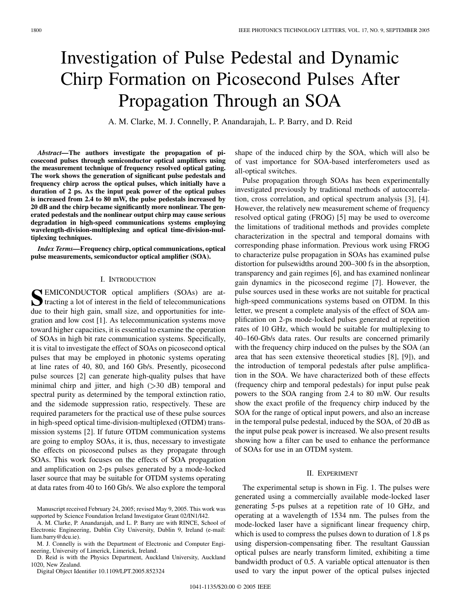# Investigation of Pulse Pedestal and Dynamic Chirp Formation on Picosecond Pulses After Propagation Through an SOA

A. M. Clarke, M. J. Connelly, P. Anandarajah, L. P. Barry, and D. Reid

*Abstract—***The authors investigate the propagation of picosecond pulses through semiconductor optical amplifiers using the measurement technique of frequency resolved optical gating. The work shows the generation of significant pulse pedestals and frequency chirp across the optical pulses, which initially have a duration of 2 ps. As the input peak power of the optical pulses is increased from 2.4 to 80 mW, the pulse pedestals increased by 20 dB and the chirp became significantly more nonlinear. The generated pedestals and the nonlinear output chirp may cause serious degradation in high-speed communications systems employing wavelength-division-multiplexing and optical time-division-multiplexing techniques.**

*Index Terms—***Frequency chirp, optical communications, optical pulse measurements, semiconductor optical amplifier (SOA).**

### I. INTRODUCTION

**S**EMICONDUCTOR optical amplifiers (SOAs) are attracting a lot of interest in the field of telecommunications due to their high gain, small size, and opportunities for integration and low cost [[1\]](#page-2-0). As telecommunication systems move toward higher capacities, it is essential to examine the operation of SOAs in high bit rate communication systems. Specifically, it is vital to investigate the effect of SOAs on picosecond optical pulses that may be employed in photonic systems operating at line rates of 40, 80, and 160 Gb/s. Presently, picosecond pulse sources [\[2](#page-2-0)] can generate high-quality pulses that have minimal chirp and jitter, and high  $( > 30$  dB) temporal and spectral purity as determined by the temporal extinction ratio, and the sidemode suppression ratio, respectively. These are required parameters for the practical use of these pulse sources in high-speed optical time-division-multiplexed (OTDM) transmission systems [[2\]](#page-2-0). If future OTDM communication systems are going to employ SOAs, it is, thus, necessary to investigate the effects on picosecond pulses as they propagate through SOAs. This work focuses on the effects of SOA propagation and amplification on 2-ps pulses generated by a mode-locked laser source that may be suitable for OTDM systems operating at data rates from 40 to 160 Gb/s. We also explore the temporal

D. Reid is with the Physics Department, Auckland University, Auckland 1020, New Zealand.

Digital Object Identifier 10.1109/LPT.2005.852324

shape of the induced chirp by the SOA, which will also be of vast importance for SOA-based interferometers used as all-optical switches.

Pulse propagation through SOAs has been experimentally investigated previously by traditional methods of autocorrelation, cross correlation, and optical spectrum analysis [\[3](#page-2-0)], [[4\]](#page-2-0). However, the relatively new measurement scheme of frequency resolved optical gating (FROG) [\[5](#page-2-0)] may be used to overcome the limitations of traditional methods and provides complete characterization in the spectral and temporal domains with corresponding phase information. Previous work using FROG to characterize pulse propagation in SOAs has examined pulse distortion for pulsewidths around 200–300 fs in the absorption, transparency and gain regimes [\[6](#page-2-0)], and has examined nonlinear gain dynamics in the picosecond regime [[7\]](#page-2-0). However, the pulse sources used in these works are not suitable for practical high-speed communications systems based on OTDM. In this letter, we present a complete analysis of the effect of SOA amplification on 2-ps mode-locked pulses generated at repetition rates of 10 GHz, which would be suitable for multiplexing to 40–160-Gb/s data rates. Our results are concerned primarily with the frequency chirp induced on the pulses by the SOA (an area that has seen extensive theoretical studies [\[8](#page-2-0)], [\[9](#page-2-0)]), and the introduction of temporal pedestals after pulse amplification in the SOA. We have characterized both of these effects (frequency chirp and temporal pedestals) for input pulse peak powers to the SOA ranging from 2.4 to 80 mW. Our results show the exact profile of the frequency chirp induced by the SOA for the range of optical input powers, and also an increase in the temporal pulse pedestal, induced by the SOA, of 20 dB as the input pulse peak power is increased. We also present results showing how a filter can be used to enhance the performance of SOAs for use in an OTDM system.

# II. EXPERIMENT

The experimental setup is shown in Fig. 1. The pulses were generated using a commercially available mode-locked laser generating 5-ps pulses at a repetition rate of 10 GHz, and operating at a wavelength of 1534 nm. The pulses from the mode-locked laser have a significant linear frequency chirp, which is used to compress the pulses down to duration of 1.8 ps using dispersion-compensating fiber. The resultant Gaussian optical pulses are nearly transform limited, exhibiting a time bandwidth product of 0.5. A variable optical attenuator is then used to vary the input power of the optical pulses injected

Manuscript received February 24, 2005; revised May 9, 2005. This work was supported by Science Foundation Ireland Investigator Grant 02/IN1/I42.

A. M. Clarke, P. Anandarajah, and L. P. Barry are with RINCE, School of Electronic Engineering, Dublin City University, Dublin 9, Ireland (e-mail: liam.barry@dcu.ie).

M. J. Connelly is with the Department of Electronic and Computer Engineering, University of Limerick, Limerick, Ireland.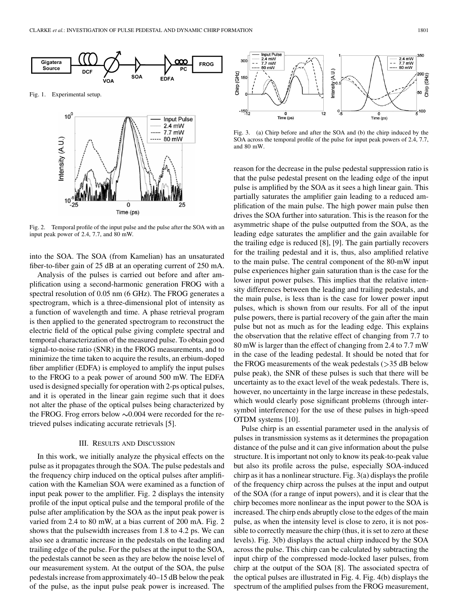

Fig. 1. Experimental setup.



Fig. 2. Temporal profile of the input pulse and the pulse after the SOA with an input peak power of 2.4, 7.7, and 80 mW.

into the SOA. The SOA (from Kamelian) has an unsaturated fiber-to-fiber gain of 25 dB at an operating current of 250 mA.

Analysis of the pulses is carried out before and after amplification using a second-harmonic generation FROG with a spectral resolution of 0.05 nm (6 GHz). The FROG generates a spectrogram, which is a three-dimensional plot of intensity as a function of wavelength and time. A phase retrieval program is then applied to the generated spectrogram to reconstruct the electric field of the optical pulse giving complete spectral and temporal characterization of the measured pulse. To obtain good signal-to-noise ratio (SNR) in the FROG measurements, and to minimize the time taken to acquire the results, an erbium-doped fiber amplifier (EDFA) is employed to amplify the input pulses to the FROG to a peak power of around 500 mW. The EDFA used is designed specially for operation with 2-ps optical pulses, and it is operated in the linear gain regime such that it does not alter the phase of the optical pulses being characterized by the FROG. Frog errors below  $\sim 0.004$  were recorded for the retrieved pulses indicating accurate retrievals [\[5](#page-2-0)].

## III. RESULTS AND DISCUSSION

In this work, we initially analyze the physical effects on the pulse as it propagates through the SOA. The pulse pedestals and the frequency chirp induced on the optical pulses after amplification with the Kamelian SOA were examined as a function of input peak power to the amplifier. Fig. 2 displays the intensity profile of the input optical pulse and the temporal profile of the pulse after amplification by the SOA as the input peak power is varied from 2.4 to 80 mW, at a bias current of 200 mA. Fig. 2 shows that the pulsewidth increases from 1.8 to 4.2 ps. We can also see a dramatic increase in the pedestals on the leading and trailing edge of the pulse. For the pulses at the input to the SOA, the pedestals cannot be seen as they are below the noise level of our measurement system. At the output of the SOA, the pulse pedestals increase from approximately 40–15 dB below the peak of the pulse, as the input pulse peak power is increased. The



Fig. 3. (a) Chirp before and after the SOA and (b) the chirp induced by the SOA across the temporal profile of the pulse for input peak powers of 2.4, 7.7, and 80 mW.

reason for the decrease in the pulse pedestal suppression ratio is that the pulse pedestal present on the leading edge of the input pulse is amplified by the SOA as it sees a high linear gain. This partially saturates the amplifier gain leading to a reduced amplification of the main pulse. The high power main pulse then drives the SOA further into saturation. This is the reason for the asymmetric shape of the pulse outputted from the SOA, as the leading edge saturates the amplifier and the gain available for the trailing edge is reduced [\[8](#page-2-0)], [[9\]](#page-2-0). The gain partially recovers for the trailing pedestal and it is, thus, also amplified relative to the main pulse. The central component of the 80-mW input pulse experiences higher gain saturation than is the case for the lower input power pulses. This implies that the relative intensity differences between the leading and trailing pedestals, and the main pulse, is less than is the case for lower power input pulses, which is shown from our results. For all of the input pulse powers, there is partial recovery of the gain after the main pulse but not as much as for the leading edge. This explains the observation that the relative effect of changing from 7.7 to 80 mW is larger than the effect of changing from 2.4 to 7.7 mW in the case of the leading pedestal. It should be noted that for the FROG measurements of the weak pedestals  $($ >35 dB below pulse peak), the SNR of these pulses is such that there will be uncertainty as to the exact level of the weak pedestals. There is, however, no uncertainty in the large increase in these pedestals, which would clearly pose significant problems (through intersymbol interference) for the use of these pulses in high-speed OTDM systems [[10\]](#page-2-0).

Pulse chirp is an essential parameter used in the analysis of pulses in transmission systems as it determines the propagation distance of the pulse and it can give information about the pulse structure. It is important not only to know its peak-to-peak value but also its profile across the pulse, especially SOA-induced chirp as it has a nonlinear structure. Fig. 3(a) displays the profile of the frequency chirp across the pulses at the input and output of the SOA (for a range of input powers), and it is clear that the chirp becomes more nonlinear as the input power to the SOA is increased. The chirp ends abruptly close to the edges of the main pulse, as when the intensity level is close to zero, it is not possible to correctly measure the chirp (thus, it is set to zero at these levels). Fig. 3(b) displays the actual chirp induced by the SOA across the pulse. This chirp can be calculated by subtracting the input chirp of the compressed mode-locked laser pulses, from chirp at the output of the SOA [\[8](#page-2-0)]. The associated spectra of the optical pulses are illustrated in Fig. 4. Fig. 4(b) displays the spectrum of the amplified pulses from the FROG measurement,